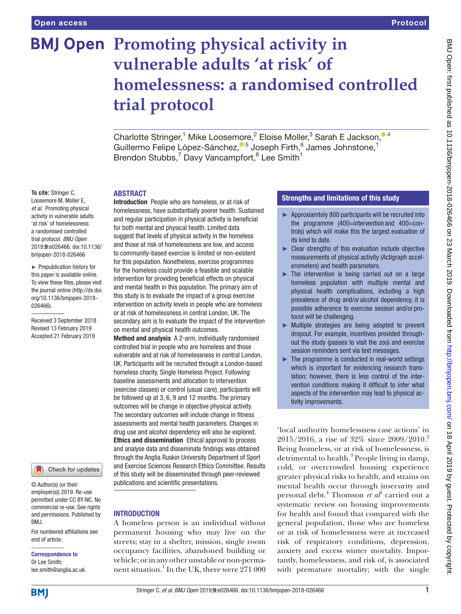## **BMJ Open Promoting physical activity in vulnerable adults 'at risk' of homelessness: a randomised controlled trial protocol**

Charlotte Stringer,<sup>1</sup> Mike Loosemore,<sup>2</sup> Eloise Moller,<sup>3</sup> Sarah E Jackson,<sup>04</sup> Guillermo Felipe López-Sánchez[,](http://orcid.org/0000-0002-9897-5273)<sup>® 5</sup> Joseph Firth,<sup>6</sup> James Johnstone,<sup>1</sup> Brendon Stubbs,<sup>7</sup> Davy Vancampfort,<sup>8</sup> Lee Smith<sup>1</sup>

## **ABSTRACT**

**To cite:** Stringer C, Loosemore M, Moller E, *et al*. Promoting physical activity in vulnerable adults 'at risk' of homelessness: a randomised controlled trial protocol. *BMJ Open* 2019;9:e026466. doi:10.1136/ bmjopen-2018-026466 ► Prepublication history for

this paper is available online. To view these files, please visit the journal online [\(http://dx.doi.](http://dx.doi.org/10.1136/bmjopen-2018-026466) [org/10.1136/bmjopen-2018-](http://dx.doi.org/10.1136/bmjopen-2018-026466) [026466\)](http://dx.doi.org/10.1136/bmjopen-2018-026466).

Received 3 September 2018 Revised 13 February 2019 Accepted 21 February 2019



© Author(s) (or their employer(s)) 2019. Re-use permitted under CC BY-NC. No commercial re-use. See rights and permissions. Published by BMJ.

For numbered affiliations see end of article.

# Correspondence to

Dr Lee Smith; lee.smith@anglia.ac.uk Introduction People who are homeless, or at risk of homelessness, have substantially poorer health. Sustained and regular participation in physical activity is beneficial for both mental and physical health. Limited data suggest that levels of physical activity in the homeless and those at risk of homelessness are low, and access to community-based exercise is limited or non-existent for this population. Nonetheless, exercise programmes for the homeless could provide a feasible and scalable intervention for providing beneficial effects on physical and mental health in this population. The primary aim of this study is to evaluate the impact of a group exercise intervention on activity levels in people who are homeless or at risk of homelessness in central London, UK. The secondary aim is to evaluate the impact of the intervention on mental and physical health outcomes.

Method and analysis A 2-arm, individually randomised controlled trial in people who are homeless and those vulnerable and at risk of homelessness in central London, UK. Participants will be recruited through a London-based homeless charity, Single Homeless Project. Following baseline assessments and allocation to intervention (exercise classes) or control (usual care), participants will be followed up at 3, 6, 9 and 12 months. The primary outcomes will be change in objective physical activity. The secondary outcomes will include change in fitness assessments and mental health parameters. Changes in drug use and alcohol dependency will also be explored. Ethics and dissemination Ethical approval to process and analyse data and disseminate findings was obtained through the Anglia Ruskin University Department of Sport and Exercise Sciences Research Ethics Committee. Results of this study will be disseminated through peer-reviewed publications and scientific presentations.

## **INTRODUCTION**

A homeless person is an individual without permanent housing who may live on the streets; stay in a shelter, mission, single room occupancy facilities, abandoned building or vehicle; or in any other unstable or non-permanent situation. $\frac{1}{2}$  $\frac{1}{2}$  $\frac{1}{2}$  In the UK, there were 271 000

### Strengths and limitations of this study

- ► Approxiamtely 800 participants will be recruited into the programme (400=intervention and 400=controls) which will make this the largest evaluation of its kind to date.
- ► Clear strengths of this evaluation include objective measurements of physical activity (Actigraph accelerometers) and health parameters.
- $\blacktriangleright$  The intervention is being carried out on a large homeless population with multiple mental and physical health complications, including a high prevalence of drug and/or alcohol dependency, it is possible adherence to exercise session and/or protocol will be challenging.
- ► Multiple strategies are being adopted to prevent dropout. For example, incentives provided throughout the study (passes to visit the zoo) and exercise session reminders sent via text messages.
- ► The programme is conducted in real-world settings which is important for evidencing research translation; however, there is less control of the intervention conditions making it difficult to infer what aspects of the intervention may lead to physical activity improvements.

'local authority homelessness case actions' in 2015/2016, a rise of 32% since 2009/2010.[2](#page-5-1) Being homeless, or at risk of homelessness, is detrimental to health.<sup>[3](#page-5-2)</sup> People living in damp, cold, or overcrowded housing experience greater physical risks to health, and strains on mental health occur through insecurity and personal debt.<sup>[4](#page-5-3)</sup> Thomson *et al*<sup>[5](#page-5-4)</sup> carried out a systematic review on housing improvements for health and found that compared with the general population, those who are homeless or at risk of homelessness were at increased risk of respiratory conditions, depression, anxiety and excess winter mortality. Importantly, homelessness, and risk of, is associated with premature mortality; with the single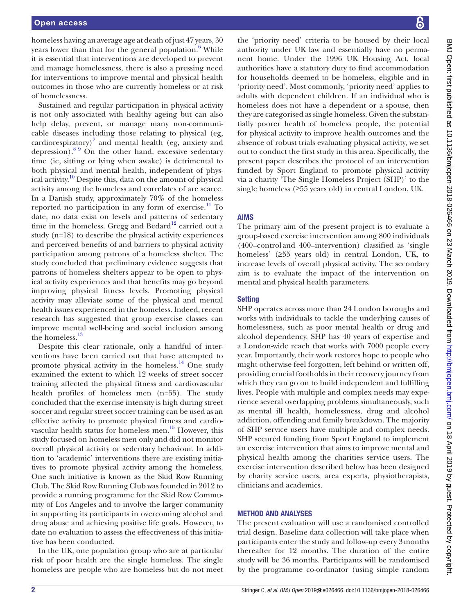homeless having an average age at death of just 47 years, 30 years lower than that for the general population.<sup>6</sup> While it is essential that interventions are developed to prevent and manage homelessness, there is also a pressing need for interventions to improve mental and physical health outcomes in those who are currently homeless or at risk of homelessness.

Sustained and regular participation in physical activity is not only associated with healthy ageing but can also help delay, prevent, or manage many non-communicable diseases including those relating to physical (eg, cardiorespiratory) $^7$  $^7$  and mental health (eg, anxiety and depression).[8 9](#page-5-7) On the other hand, excessive sedentary time (ie, sitting or lying when awake) is detrimental to both physical and mental health, independent of phys-ical activity.<sup>[10](#page-5-8)</sup> Despite this, data on the amount of physical activity among the homeless and correlates of are scarce. In a Danish study, approximately 70% of the homeless reported no participation in any form of exercise. $\frac{11}{10}$  $\frac{11}{10}$  $\frac{11}{10}$  To date, no data exist on levels and patterns of sedentary time in the homeless. Gregg and Bedard<sup>12</sup> carried out a study (n=18) to describe the physical activity experiences and perceived benefits of and barriers to physical activity participation among patrons of a homeless shelter. The study concluded that preliminary evidence suggests that patrons of homeless shelters appear to be open to physical activity experiences and that benefits may go beyond improving physical fitness levels. Promoting physical activity may alleviate some of the physical and mental health issues experienced in the homeless. Indeed, recent research has suggested that group exercise classes can improve mental well-being and social inclusion among the homeless.<sup>13</sup>

Despite this clear rationale, only a handful of interventions have been carried out that have attempted to promote physical activity in the homeless. $^{14}$  One study examined the extent to which 12 weeks of street soccer training affected the physical fitness and cardiovascular health profiles of homeless men (n=55). The study concluded that the exercise intensity is high during street soccer and regular street soccer training can be used as an effective activity to promote physical fitness and cardiovascular health status for homeless men. $15$  However, this study focused on homeless men only and did not monitor overall physical activity or sedentary behaviour. In addition to 'academic' interventions there are existing initiatives to promote physical activity among the homeless. One such initiative is known as the Skid Row Running Club. The Skid Row Running Club was founded in 2012 to provide a running programme for the Skid Row Community of Los Angeles and to involve the larger community in supporting its participants in overcoming alcohol and drug abuse and achieving positive life goals. However, to date no evaluation to assess the effectiveness of this initiative has been conducted.

In the UK, one population group who are at particular risk of poor health are the single homeless. The single homeless are people who are homeless but do not meet

the 'priority need' criteria to be housed by their local authority under UK law and essentially have no permanent home. Under the 1996 UK Housing Act, local authorities have a statutory duty to find accommodation for households deemed to be homeless, eligible and in 'priority need'. Most commonly, 'priority need' applies to adults with dependent children. If an individual who is homeless does not have a dependent or a spouse, then they are categorised as single homeless. Given the substantially poorer health of homeless people, the potential for physical activity to improve health outcomes and the absence of robust trials evaluating physical activity, we set out to conduct the first study in this area. Specifically, the present paper describes the protocol of an intervention funded by Sport England to promote physical activity via a charity 'The Single Homeless Project (SHP)' to the single homeless (≥55 years old) in central London, UK.

## Aims

The primary aim of the present project is to evaluate a group-based exercise intervention among 800 individuals (400=control and 400=intervention) classified as 'single homeless' (≥55 years old) in central London, UK, to increase levels of overall physical activity. The secondary aim is to evaluate the impact of the intervention on mental and physical health parameters.

## **Setting**

SHP operates across more than 24 London boroughs and works with individuals to tackle the underlying causes of homelessness, such as poor mental health or drug and alcohol dependency. SHP has 40 years of expertise and a London-wide reach that works with 7000 people every year. Importantly, their work restores hope to people who might otherwise feel forgotten, left behind or written off, providing crucial footholds in their recovery journey from which they can go on to build independent and fulfilling lives. People with multiple and complex needs may experience several overlapping problems simultaneously, such as mental ill health, homelessness, drug and alcohol addiction, offending and family breakdown. The majority of SHP service users have multiple and complex needs. SHP secured funding from Sport England to implement an exercise intervention that aims to improve mental and physical health among the charities service users. The exercise intervention described below has been designed by charity service users, area experts, physiotherapists, clinicians and academics.

#### Method and analyses

The present evaluation will use a randomised controlled trial design. Baseline data collection will take place when participants enter the study and follow-up every 3months thereafter for 12 months. The duration of the entire study will be 36 months. Participants will be randomised by the programme co-ordinator (using simple random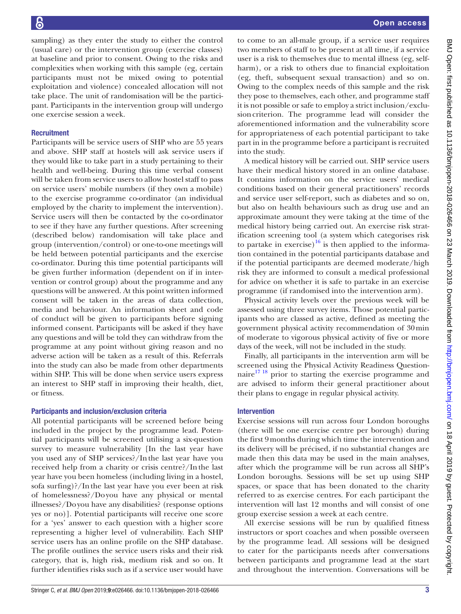Open access

sampling) as they enter the study to either the control (usual care) or the intervention group (exercise classes) at baseline and prior to consent. Owing to the risks and complexities when working with this sample (eg, certain participants must not be mixed owing to potential exploitation and violence) concealed allocation will not take place. The unit of randomisation will be the participant. Participants in the intervention group will undergo one exercise session a week.

#### **Recruitment**

Participants will be service users of SHP who are 55 years and above. SHP staff at hostels will ask service users if they would like to take part in a study pertaining to their health and well-being. During this time verbal consent will be taken from service users to allow hostel staff to pass on service users' mobile numbers (if they own a mobile) to the exercise programme co-ordinator (an individual employed by the charity to implement the intervention). Service users will then be contacted by the co-ordinator to see if they have any further questions. After screening (described below) randomisation will take place and group (intervention/control) or one-to-one meetings will be held between potential participants and the exercise co-ordinator. During this time potential participants will be given further information (dependent on if in intervention or control group) about the programme and any questions will be answered. At this point written informed consent will be taken in the areas of data collection, media and behaviour. An information sheet and code of conduct will be given to participants before signing informed consent. Participants will be asked if they have any questions and will be told they can withdraw from the programme at any point without giving reason and no adverse action will be taken as a result of this. Referrals into the study can also be made from other departments within SHP. This will be done when service users express an interest to SHP staff in improving their health, diet, or fitness.

#### Participants and inclusion/exclusion criteria

All potential participants will be screened before being included in the project by the programme lead. Potential participants will be screened utilising a six-question survey to measure vulnerability [In the last year have you used any of SHP services?/Inthe last year have you received help from a charity or crisis centre?/Inthe last year have you been homeless (including living in a hostel, sofa surfing)?/Inthe last year have you ever been at risk of homelessness?/Doyou have any physical or mental illnesses?/Doyou have any disabilities? (response options yes or no)]. Potential participants will receive one score for a 'yes' answer to each question with a higher score representing a higher level of vulnerability. Each SHP service users has an online profile on the SHP database. The profile outlines the service users risks and their risk category, that is, high risk, medium risk and so on. It further identifies risks such as if a service user would have

to come to an all-male group, if a service user requires two members of staff to be present at all time, if a service user is a risk to themselves due to mental illness (eg, selfharm), or a risk to others due to financial exploitation (eg, theft, subsequent sexual transaction) and so on. Owing to the complex needs of this sample and the risk they pose to themselves, each other, and programme staff it is not possible or safe to employ a strict inclusion/exclusioncriterion. The programme lead will consider the aforementioned information and the vulnerability score for appropriateness of each potential participant to take part in in the programme before a participant is recruited into the study.

A medical history will be carried out. SHP service users have their medical history stored in an online database. It contains information on the service users' medical conditions based on their general practitioners' records and service user self-report, such as diabetes and so on, but also on health behaviours such as drug use and an approximate amount they were taking at the time of the medical history being carried out. An exercise risk stratification screening tool (a system which categorises risk to partake in exercise)<sup>16</sup> is then applied to the information contained in the potential participants database and if the potential participants are deemed moderate/high risk they are informed to consult a medical professional for advice on whether it is safe to partake in an exercise programme (if randomised into the intervention arm).

Physical activity levels over the previous week will be assessed using three survey items. Those potential participants who are classed as active, defined as meeting the government physical activity recommendation of 30min of moderate to vigorous physical activity of five or more days of the week, will not be included in the study.

Finally, all participants in the intervention arm will be screened using the Physical Activity Readiness Questionnaire $17/18$  prior to starting the exercise programme and are advised to inform their general practitioner about their plans to engage in regular physical activity.

#### Intervention

Exercise sessions will run across four London boroughs (there will be one exercise centre per borough) during the first 9months during which time the intervention and its delivery will be précised, if no substantial changes are made then this data may be used in the main analyses, after which the programme will be run across all SHP's London boroughs. Sessions will be set up using SHP spaces, or space that has been donated to the charity referred to as exercise centres. For each participant the intervention will last 12 months and will consist of one group exercise session a week at each centre.

All exercise sessions will be run by qualified fitness instructors or sport coaches and when possible overseen by the programme lead. All sessions will be designed to cater for the participants needs after conversations between participants and programme lead at the start and throughout the intervention. Conversations will be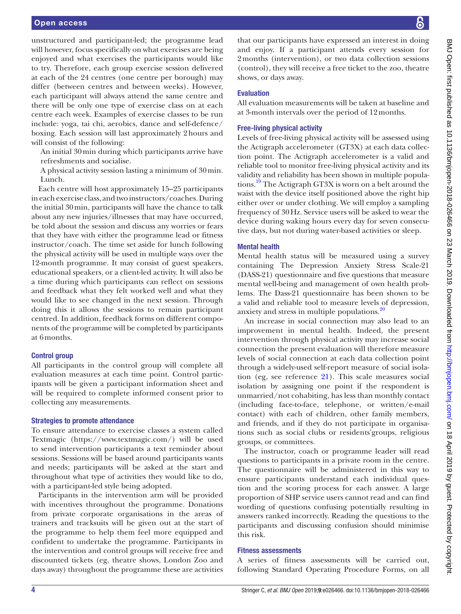unstructured and participant-led; the programme lead will however, focus specifically on what exercises are being enjoyed and what exercises the participants would like to try. Therefore, each group exercise session delivered at each of the 24 centres (one centre per borough) may differ (between centres and between weeks). However, each participant will always attend the same centre and there will be only one type of exercise class on at each centre each week. Examples of exercise classes to be run include: yoga, tai chi, aerobics, dance and self-defence/ boxing. Each session will last approximately 2hours and will consist of the following:

An initial 30min during which participants arrive have refreshments and socialise.

A physical activity session lasting a minimum of 30min. Lunch.

Each centre will host approximately 15–25 participants in each exercise class, and two instructors/coaches. During the initial 30min, participants will have the chance to talk about any new injuries/illnesses that may have occurred, be told about the session and discuss any worries or fears that they have with either the programme lead or fitness instructor/coach. The time set aside for lunch following the physical activity will be used in multiple ways over the 12-month programme. It may consist of guest speakers, educational speakers, or a client-led activity. It will also be a time during which participants can reflect on sessions and feedback what they felt worked well and what they would like to see changed in the next session. Through doing this it allows the sessions to remain participant centred. In addition, feedback forms on different components of the programme will be completed by participants at 6months.

#### Control group

All participants in the control group will complete all evaluation measures at each time point. Control participants will be given a participant information sheet and will be required to complete informed consent prior to collecting any measurements.

#### Strategies to promote attendance

To ensure attendance to exercise classes a system called Textmagic [\(https://www.textmagic.com/](https://www.textmagic.com/)) will be used to send intervention participants a text reminder about sessions. Sessions will be based around participants wants and needs; participants will be asked at the start and throughout what type of activities they would like to do, with a participant-led style being adopted.

Participants in the intervention arm will be provided with incentives throughout the programme. Donations from private corporate organisations in the areas of trainers and tracksuits will be given out at the start of the programme to help them feel more equipped and confident to undertake the programme. Participants in the intervention and control groups will receive free and discounted tickets (eg, theatre shows, London Zoo and days away) throughout the programme these are activities

that our participants have expressed an interest in doing and enjoy. If a participant attends every session for 2months (intervention), or two data collection sessions (control), they will receive a free ticket to the zoo, theatre shows, or days away.

#### Evaluation

All evaluation measurements will be taken at baseline and at 3-month intervals over the period of 12months.

#### Free-living physical activity

Levels of free-living physical activity will be assessed using the Actigraph accelerometer (GT3X) at each data collection point. The Actigraph accelerometer is a valid and reliable tool to monitor free-living physical activity and its validity and reliability has been shown in multiple populations.<sup>19</sup> The Actigraph GT3X is worn on a belt around the waist with the device itself positioned above the right hip either over or under clothing. We will employ a sampling frequency of 30Hz. Service users will be asked to wear the device during waking hours every day for seven consecutive days, but not during water-based activities or sleep.

#### Mental health

Mental health status will be measured using a survey containing The Depression Anxiety Stress Scale-21 (DASS-21) questionnaire and five questions that measure mental well-being and management of own health problems. The Dass-21 questionnaire has been shown to be a valid and reliable tool to measure levels of depression, anxiety and stress in multiple populations.[20](#page-5-17)

An increase in social connection may also lead to an improvement in mental health. Indeed, the present intervention through physical activity may increase social connection the present evaluation will therefore measure levels of social connection at each data collection point through a widely-used self-report measure of social isolation (eg, see reference [21](#page-5-18)). This scale measures social isolation by assigning one point if the respondent is unmarried/not cohabiting, has less than monthly contact (including face-to-face, telephone, or written/e-mail contact) with each of children, other family members, and friends, and if they do not participate in organisations such as social clubs or residents'groups, religious groups, or committees.

The instructor, coach or programme leader will read questions to participants in a private room in the centre. The questionnaire will be administered in this way to ensure participants understand each individual question and the scoring process for each answer. A large proportion of SHP service users cannot read and can find wording of questions confusing potentially resulting in answers ranked incorrectly. Reading the questions to the participants and discussing confusion should minimise this risk.

#### Fitness assessments

A series of fitness assessments will be carried out, following Standard Operating Procedure Forms, on all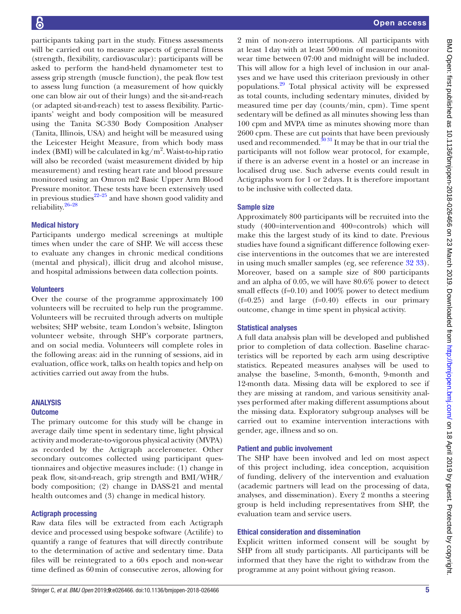participants taking part in the study. Fitness assessments will be carried out to measure aspects of general fitness (strength, flexibility, cardiovascular): participants will be asked to perform the hand-held dynamometer test to assess grip strength (muscle function), the peak flow test to assess lung function (a measurement of how quickly one can blow air out of their lungs) and the sit-and-reach (or adapted sit-and-reach) test to assess flexibility. Participants' weight and body composition will be measured using the Tanita SC-330 Body Composition Analyser (Tanita, Illinois, USA) and height will be measured using the Leicester Height Measure, from which body mass index (BMI) will be calculated in  $\text{kg/m}^2$ . Waist-to-hip ratio will also be recorded (waist measurement divided by hip measurement) and resting heart rate and blood pressure monitored using an Omron m2 Basic Upper Arm Blood Pressure monitor. These tests have been extensively used in previous studies $22-25$  and have shown good validity and reliability.<sup>26-28</sup>

## Medical history

Participants undergo medical screenings at multiple times when under the care of SHP. We will access these to evaluate any changes in chronic medical conditions (mental and physical), illicit drug and alcohol misuse, and hospital admissions between data collection points.

#### **Volunteers**

Over the course of the programme approximately 100 volunteers will be recruited to help run the programme. Volunteers will be recruited through adverts on multiple websites; SHP website, team London's website, Islington volunteer website, through SHP's corporate partners, and on social media. Volunteers will complete roles in the following areas: aid in the running of sessions, aid in evaluation, office work, talks on health topics and help on activities carried out away from the hubs.

#### Analysis

#### **Outcome**

The primary outcome for this study will be change in average daily time spent in sedentary time, light physical activity and moderate-to-vigorous physical activity (MVPA) as recorded by the Actigraph accelerometer. Other secondary outcomes collected using participant questionnaires and objective measures include: (1) change in peak flow, sit-and-reach, grip strength and BMI/WHR/ body composition; (2) change in DASS-21 and mental health outcomes and (3) change in medical history.

#### Actigraph processing

Raw data files will be extracted from each Actigraph device and processed using bespoke software (Actilife) to quantify a range of features that will directly contribute to the determination of active and sedentary time. Data files will be reintegrated to a 60s epoch and non-wear time defined as 60min of consecutive zeros, allowing for

2 min of non-zero interruptions. All participants with at least 1day with at least 500min of measured monitor wear time between 07:00 and midnight will be included. This will allow for a high level of inclusion in our analyses and we have used this criteriaon previously in other populations[.29](#page-5-21) Total physical activity will be expressed as total counts, including sedentary minutes, divided by measured time per day (counts/min, cpm). Time spent sedentary will be defined as all minutes showing less than 100 cpm and MVPA time as minutes showing more than 2600 cpm. These are cut points that have been previously used and recommended. $3031$  It may be that in our trial the participants will not follow wear protocol, for example, if there is an adverse event in a hostel or an increase in localised drug use. Such adverse events could result in Actigraphs worn for 1 or 2days. It is therefore important to be inclusive with collected data.

#### Sample size

Approximately 800 participants will be recruited into the study (400=interventionand 400=controls) which will make this the largest study of its kind to date. Previous studies have found a significant difference following exercise interventions in the outcomes that we are interested in using much smaller samples (eg, see reference [32 33\)](#page-5-23). Moreover, based on a sample size of 800 participants and an alpha of 0.05, we will have 80.6% power to detect small effects (f=0.10) and 100% power to detect medium  $(f=0.25)$  and large  $(f=0.40)$  effects in our primary outcome, change in time spent in physical activity.

#### Statistical analyses

A full data analysis plan will be developed and published prior to completion of data collection. Baseline characteristics will be reported by each arm using descriptive statistics. Repeated measures analyses will be used to analyse the baseline, 3-month, 6-month, 9-month and 12-month data. Missing data will be explored to see if they are missing at random, and various sensitivity analyses performed after making different assumptions about the missing data. Exploratory subgroup analyses will be carried out to examine intervention interactions with gender, age, illness and so on.

#### Patient and public involvement

The SHP have been involved and led on most aspect of this project including, idea conception, acquisition of funding, delivery of the intervention and evaluation (academic partners will lead on the processing of data, analyses, and dissemination). Every 2 months a steering group is held including representatives from SHP, the evaluation team and service users.

#### Ethical consideration and dissemination

Explicit written informed consent will be sought by SHP from all study participants. All participants will be informed that they have the right to withdraw from the programme at any point without giving reason.